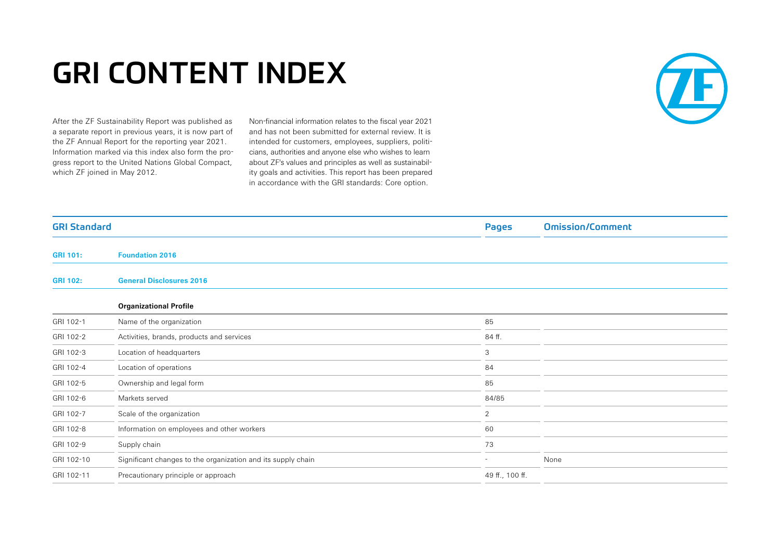## GRI CONTENT INDEX

After the ZF Sustainability Report was published as a separate report in previous years, it is now part of the ZF Annual Report for the reporting year 2021. Information marked via this index also form the progress report to the United Nations Global Compact, which ZF joined in May 2012.

Non-financial information relates to the fiscal year 2021 and has not been submitted for external review. It is intended for customers, employees, suppliers, politicians, authorities and anyone else who wishes to learn about ZF's values and principles as well as sustainability goals and activities. This report has been prepared in accordance with the GRI standards: Core option.



| <b>GRI Standard</b> |                                                              | <b>Pages</b>             | <b>Omission/Comment</b> |
|---------------------|--------------------------------------------------------------|--------------------------|-------------------------|
| <b>GRI 101:</b>     | <b>Foundation 2016</b>                                       |                          |                         |
| <b>GRI 102:</b>     | <b>General Disclosures 2016</b>                              |                          |                         |
|                     | <b>Organizational Profile</b>                                |                          |                         |
| GRI 102-1           | Name of the organization                                     | 85                       |                         |
| GRI 102-2           | Activities, brands, products and services                    | 84 ff.                   |                         |
| GRI 102-3           | Location of headquarters                                     | 3                        |                         |
| GRI 102-4           | Location of operations                                       | 84                       |                         |
| GRI 102-5           | Ownership and legal form                                     | 85                       |                         |
| GRI 102-6           | Markets served                                               | 84/85                    |                         |
| GRI 102-7           | Scale of the organization                                    | $\overline{2}$           |                         |
| GRI 102-8           | Information on employees and other workers                   | 60                       |                         |
| GRI 102-9           | Supply chain                                                 | 73                       |                         |
| GRI 102-10          | Significant changes to the organization and its supply chain | $\overline{\phantom{a}}$ | None                    |
| GRI 102-11          | Precautionary principle or approach                          | 49 ff., 100 ff.          |                         |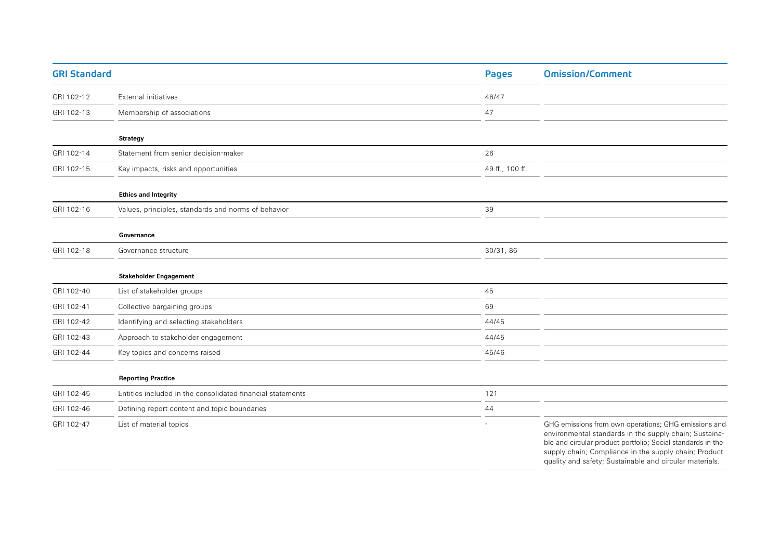| <b>GRI Standard</b> |                                                            | <b>Pages</b>    | <b>Omission/Comment</b>                                                                                                                                                                                                                                                                           |
|---------------------|------------------------------------------------------------|-----------------|---------------------------------------------------------------------------------------------------------------------------------------------------------------------------------------------------------------------------------------------------------------------------------------------------|
| GRI 102-12          | External initiatives                                       | 46/47           |                                                                                                                                                                                                                                                                                                   |
| GRI 102-13          | Membership of associations                                 | 47              |                                                                                                                                                                                                                                                                                                   |
|                     | <b>Strategy</b>                                            |                 |                                                                                                                                                                                                                                                                                                   |
| GRI 102-14          | Statement from senior decision-maker                       | 26              |                                                                                                                                                                                                                                                                                                   |
| GRI 102-15          | Key impacts, risks and opportunities                       | 49 ff., 100 ff. |                                                                                                                                                                                                                                                                                                   |
|                     | <b>Ethics and Integrity</b>                                |                 |                                                                                                                                                                                                                                                                                                   |
| GRI 102-16          | Values, principles, standards and norms of behavior        | 39              |                                                                                                                                                                                                                                                                                                   |
|                     | Governance                                                 |                 |                                                                                                                                                                                                                                                                                                   |
| GRI 102-18          | Governance structure                                       | 30/31, 86       |                                                                                                                                                                                                                                                                                                   |
|                     | <b>Stakeholder Engagement</b>                              |                 |                                                                                                                                                                                                                                                                                                   |
| GRI 102-40          | List of stakeholder groups                                 | 45              |                                                                                                                                                                                                                                                                                                   |
| GRI 102-41          | Collective bargaining groups                               | 69              |                                                                                                                                                                                                                                                                                                   |
| GRI 102-42          | Identifying and selecting stakeholders                     | 44/45           |                                                                                                                                                                                                                                                                                                   |
| GRI 102-43          | Approach to stakeholder engagement                         | 44/45           |                                                                                                                                                                                                                                                                                                   |
| GRI 102-44          | Key topics and concerns raised                             | 45/46           |                                                                                                                                                                                                                                                                                                   |
|                     | <b>Reporting Practice</b>                                  |                 |                                                                                                                                                                                                                                                                                                   |
| GRI 102-45          | Entities included in the consolidated financial statements | 121             |                                                                                                                                                                                                                                                                                                   |
| GRI 102-46          | Defining report content and topic boundaries               | 44              |                                                                                                                                                                                                                                                                                                   |
| GRI 102-47          | List of material topics                                    |                 | GHG emissions from own operations; GHG emissions and<br>environmental standards in the supply chain; Sustaina-<br>ble and circular product portfolio; Social standards in the<br>supply chain; Compliance in the supply chain; Product<br>quality and safety; Sustainable and circular materials. |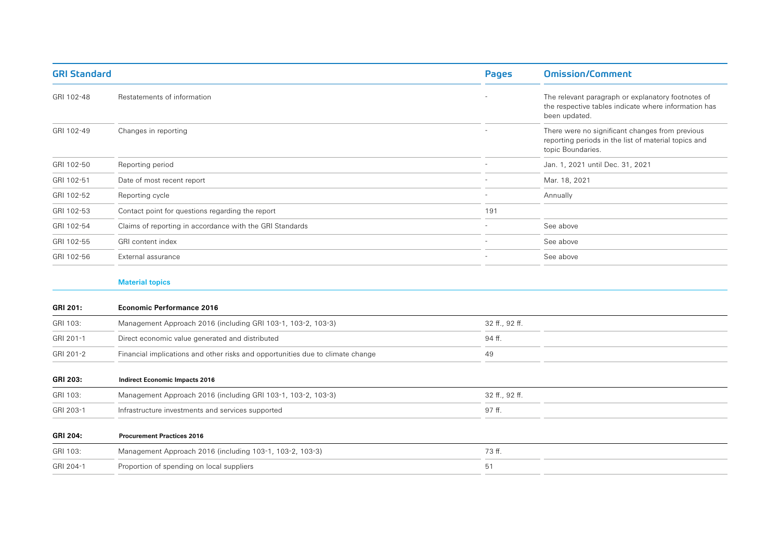| <b>GRI Standard</b> |                                                                                | <b>Pages</b>   | <b>Omission/Comment</b>                                                                                                      |
|---------------------|--------------------------------------------------------------------------------|----------------|------------------------------------------------------------------------------------------------------------------------------|
| GRI 102-48          | Restatements of information                                                    |                | The relevant paragraph or explanatory footnotes of<br>the respective tables indicate where information has<br>been updated.  |
| GRI 102-49          | Changes in reporting                                                           |                | There were no significant changes from previous<br>reporting periods in the list of material topics and<br>topic Boundaries. |
| GRI 102-50          | Reporting period                                                               |                | Jan. 1, 2021 until Dec. 31, 2021                                                                                             |
| GRI 102-51          | Date of most recent report                                                     |                | Mar. 18, 2021                                                                                                                |
| GRI 102-52          | Reporting cycle                                                                |                | Annually                                                                                                                     |
| GRI 102-53          | Contact point for questions regarding the report                               | 191            |                                                                                                                              |
| GRI 102-54          | Claims of reporting in accordance with the GRI Standards                       |                | See above                                                                                                                    |
| GRI 102-55          | GRI content index                                                              |                | See above                                                                                                                    |
| GRI 102-56          | External assurance                                                             |                | See above                                                                                                                    |
|                     | <b>Material topics</b>                                                         |                |                                                                                                                              |
| GRI 201:            | <b>Economic Performance 2016</b>                                               |                |                                                                                                                              |
| GRI 103:            | Management Approach 2016 (including GRI 103-1, 103-2, 103-3)                   | 32 ff., 92 ff. |                                                                                                                              |
| GRI 201-1           | Direct economic value generated and distributed                                | 94 ff.         |                                                                                                                              |
| GRI 201-2           | Financial implications and other risks and opportunities due to climate change | 49             |                                                                                                                              |
| <b>GRI 203:</b>     | <b>Indirect Economic Impacts 2016</b>                                          |                |                                                                                                                              |
| GRI 103:            | Management Approach 2016 (including GRI 103-1, 103-2, 103-3)                   | 32 ff., 92 ff. |                                                                                                                              |
| GRI 203-1           | Infrastructure investments and services supported                              | 97 ff.         |                                                                                                                              |
| GRI 204:            | <b>Procurement Practices 2016</b>                                              |                |                                                                                                                              |

| GRI 103:  | Management Approach 2016 (including 103-1, 103-2, 103-3) | フウ |
|-----------|----------------------------------------------------------|----|
| GRI 204-1 | Proportion of spending on local suppliers                |    |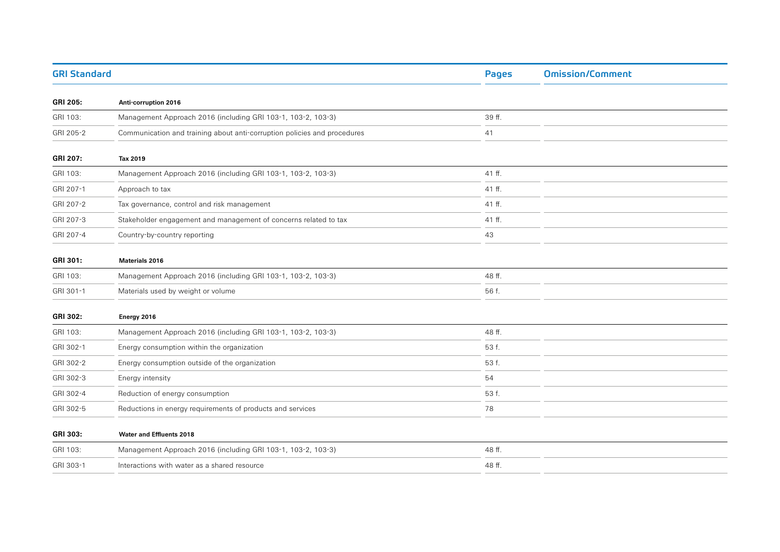| <b>GRI Standard</b> |                                                                          | <b>Pages</b> | <b>Omission/Comment</b> |
|---------------------|--------------------------------------------------------------------------|--------------|-------------------------|
| <b>GRI 205:</b>     | Anti-corruption 2016                                                     |              |                         |
| GRI 103:            | Management Approach 2016 (including GRI 103-1, 103-2, 103-3)             | 39 ff.       |                         |
| GRI 205-2           | Communication and training about anti-corruption policies and procedures | 41           |                         |
| <b>GRI 207:</b>     | Tax 2019                                                                 |              |                         |
| GRI 103:            | Management Approach 2016 (including GRI 103-1, 103-2, 103-3)             | 41 ff.       |                         |
| GRI 207-1           | Approach to tax                                                          | 41 ff.       |                         |
| GRI 207-2           | Tax governance, control and risk management                              | 41 ff.       |                         |
| GRI 207-3           | Stakeholder engagement and management of concerns related to tax         | 41 ff.       |                         |
| GRI 207-4           | Country-by-country reporting                                             | 43           |                         |
| GRI 301:            | <b>Materials 2016</b>                                                    |              |                         |
| GRI 103:            | Management Approach 2016 (including GRI 103-1, 103-2, 103-3)             | 48 ff.       |                         |
| GRI 301-1           | Materials used by weight or volume                                       | 56 f.        |                         |
| <b>GRI 302:</b>     | Energy 2016                                                              |              |                         |
| GRI 103:            | Management Approach 2016 (including GRI 103-1, 103-2, 103-3)             | 48 ff.       |                         |
| GRI 302-1           | Energy consumption within the organization                               | 53 f.        |                         |
| GRI 302-2           | Energy consumption outside of the organization                           | 53 f.        |                         |
| GRI 302-3           | Energy intensity                                                         | 54           |                         |
| GRI 302-4           | Reduction of energy consumption                                          | 53 f.        |                         |
| GRI 302-5           | Reductions in energy requirements of products and services               | 78           |                         |
| GRI 303:            | <b>Water and Effluents 2018</b>                                          |              |                         |
| GRI 103:            | Management Approach 2016 (including GRI 103-1, 103-2, 103-3)             | 48 ff.       |                         |
| GRI 303-1           | Interactions with water as a shared resource                             | 48 ff.       |                         |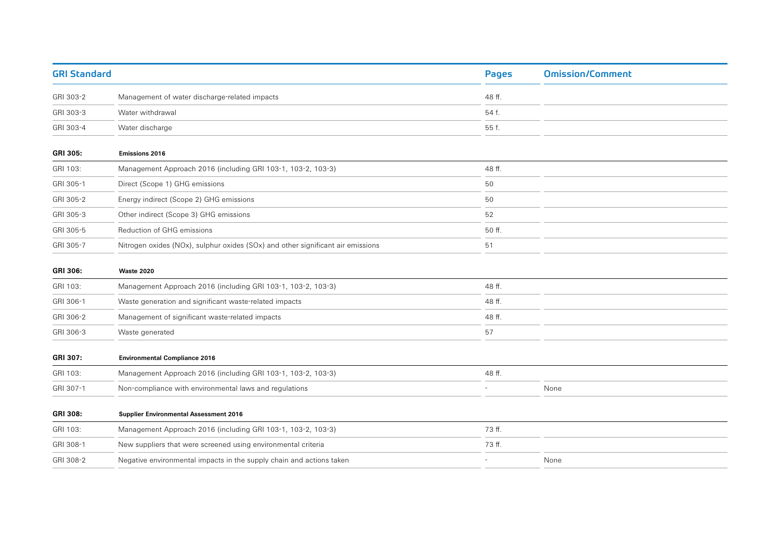| <b>GRI Standard</b> |                                                                                 | <b>Pages</b>             | <b>Omission/Comment</b> |
|---------------------|---------------------------------------------------------------------------------|--------------------------|-------------------------|
| GRI 303-2           | Management of water discharge-related impacts                                   | 48 ff.                   |                         |
| GRI 303-3           | Water withdrawal                                                                | 54 f.                    |                         |
| GRI 303-4           | Water discharge                                                                 | 55 f.                    |                         |
| <b>GRI 305:</b>     | <b>Emissions 2016</b>                                                           |                          |                         |
| GRI 103:            | Management Approach 2016 (including GRI 103-1, 103-2, 103-3)                    | 48 ff.                   |                         |
| GRI 305-1           | Direct (Scope 1) GHG emissions                                                  | 50                       |                         |
| GRI 305-2           | Energy indirect (Scope 2) GHG emissions                                         | 50                       |                         |
| GRI 305-3           | Other indirect (Scope 3) GHG emissions                                          | 52                       |                         |
| GRI 305-5           | Reduction of GHG emissions                                                      | 50 ff.                   |                         |
| GRI 305-7           | Nitrogen oxides (NOx), sulphur oxides (SOx) and other significant air emissions | 51                       |                         |
| GRI 306:            | <b>Waste 2020</b>                                                               |                          |                         |
| GRI 103:            | Management Approach 2016 (including GRI 103-1, 103-2, 103-3)                    | 48 ff.                   |                         |
| GRI 306-1           | Waste generation and significant waste-related impacts                          | 48 ff.                   |                         |
| GRI 306-2           | Management of significant waste-related impacts                                 | 48 ff.                   |                         |
| GRI 306-3           | Waste generated                                                                 | 57                       |                         |
| <b>GRI 307:</b>     | <b>Environmental Compliance 2016</b>                                            |                          |                         |
| GRI 103:            | Management Approach 2016 (including GRI 103-1, 103-2, 103-3)                    | 48 ff.                   |                         |
| GRI 307-1           | Non-compliance with environmental laws and regulations                          | $\overline{\phantom{a}}$ | None                    |
| GRI 308:            | <b>Supplier Environmental Assessment 2016</b>                                   |                          |                         |
| GRI 103:            | Management Approach 2016 (including GRI 103-1, 103-2, 103-3)                    | 73 ff.                   |                         |
| GRI 308-1           | New suppliers that were screened using environmental criteria                   | 73 ff.                   |                         |
| GRI 308-2           | Negative environmental impacts in the supply chain and actions taken            |                          | None                    |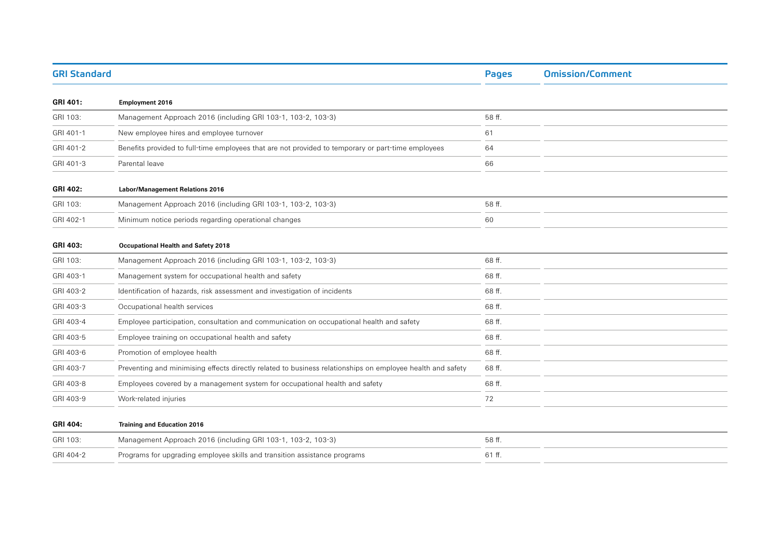| <b>GRI Standard</b> |                                                                                                            | <b>Pages</b> | <b>Omission/Comment</b> |
|---------------------|------------------------------------------------------------------------------------------------------------|--------------|-------------------------|
| GRI 401:            | <b>Employment 2016</b>                                                                                     |              |                         |
| GRI 103:            | Management Approach 2016 (including GRI 103-1, 103-2, 103-3)                                               | 58 ff.       |                         |
| GRI 401-1           | New employee hires and employee turnover                                                                   | 61           |                         |
| GRI 401-2           | Benefits provided to full-time employees that are not provided to temporary or part-time employees         | 64           |                         |
| GRI 401-3           | Parental leave                                                                                             | 66           |                         |
| GRI 402:            | <b>Labor/Management Relations 2016</b>                                                                     |              |                         |
| GRI 103:            | Management Approach 2016 (including GRI 103-1, 103-2, 103-3)                                               | 58 ff.       |                         |
| GRI 402-1           | Minimum notice periods regarding operational changes                                                       | 60           |                         |
| <b>GRI 403:</b>     | Occupational Health and Safety 2018                                                                        |              |                         |
| GRI 103:            | Management Approach 2016 (including GRI 103-1, 103-2, 103-3)                                               | 68 ff.       |                         |
| GRI 403-1           | Management system for occupational health and safety                                                       | 68 ff.       |                         |
| GRI 403-2           | Identification of hazards, risk assessment and investigation of incidents                                  | 68 ff.       |                         |
| GRI 403-3           | Occupational health services                                                                               | 68 ff.       |                         |
| GRI 403-4           | Employee participation, consultation and communication on occupational health and safety                   | 68 ff.       |                         |
| GRI 403-5           | Employee training on occupational health and safety                                                        | 68 ff.       |                         |
| GRI 403-6           | Promotion of employee health                                                                               | 68 ff.       |                         |
| GRI 403-7           | Preventing and minimising effects directly related to business relationships on employee health and safety | 68 ff.       |                         |
| GRI 403-8           | Employees covered by a management system for occupational health and safety                                | 68 ff.       |                         |
| GRI 403-9           | Work-related injuries                                                                                      | 72           |                         |
| GRI 404:            | <b>Training and Education 2016</b>                                                                         |              |                         |
| GRI 103:            | Management Approach 2016 (including GRI 103-1, 103-2, 103-3)                                               | 58 ff.       |                         |
| GRI 404-2           | Programs for upgrading employee skills and transition assistance programs                                  | 61 ff.       |                         |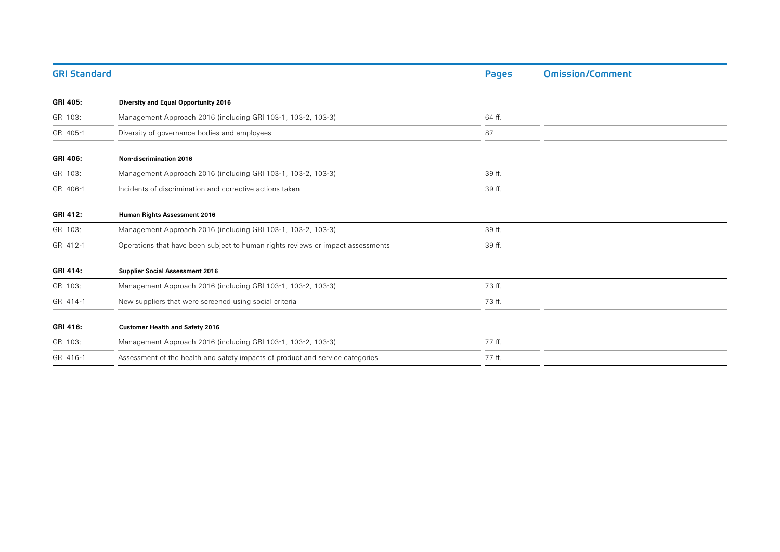| <b>GRI Standard</b> |                                                                                 | Pages  | <b>Omission/Comment</b> |
|---------------------|---------------------------------------------------------------------------------|--------|-------------------------|
| <b>GRI 405:</b>     | Diversity and Equal Opportunity 2016                                            |        |                         |
| GRI 103:            | Management Approach 2016 (including GRI 103-1, 103-2, 103-3)                    | 64 ff. |                         |
| GRI 405-1           | Diversity of governance bodies and employees                                    | 87     |                         |
| GRI 406:            | Non-discrimination 2016                                                         |        |                         |
| GRI 103:            | Management Approach 2016 (including GRI 103-1, 103-2, 103-3)                    | 39 ff. |                         |
| GRI 406-1           | Incidents of discrimination and corrective actions taken                        | 39 ff. |                         |
| <b>GRI 412:</b>     | Human Rights Assessment 2016                                                    |        |                         |
| GRI 103:            | Management Approach 2016 (including GRI 103-1, 103-2, 103-3)                    | 39 ff. |                         |
| GRI 412-1           | Operations that have been subject to human rights reviews or impact assessments | 39 ff. |                         |
| <b>GRI 414:</b>     | <b>Supplier Social Assessment 2016</b>                                          |        |                         |
| GRI 103:            | Management Approach 2016 (including GRI 103-1, 103-2, 103-3)                    | 73 ff. |                         |
| GRI 414-1           | New suppliers that were screened using social criteria                          | 73 ff. |                         |
| GRI 416:            | <b>Customer Health and Safety 2016</b>                                          |        |                         |
| GRI 103:            | Management Approach 2016 (including GRI 103-1, 103-2, 103-3)                    | 77 ff. |                         |
| GRI 416-1           | Assessment of the health and safety impacts of product and service categories   | 77 ff. |                         |